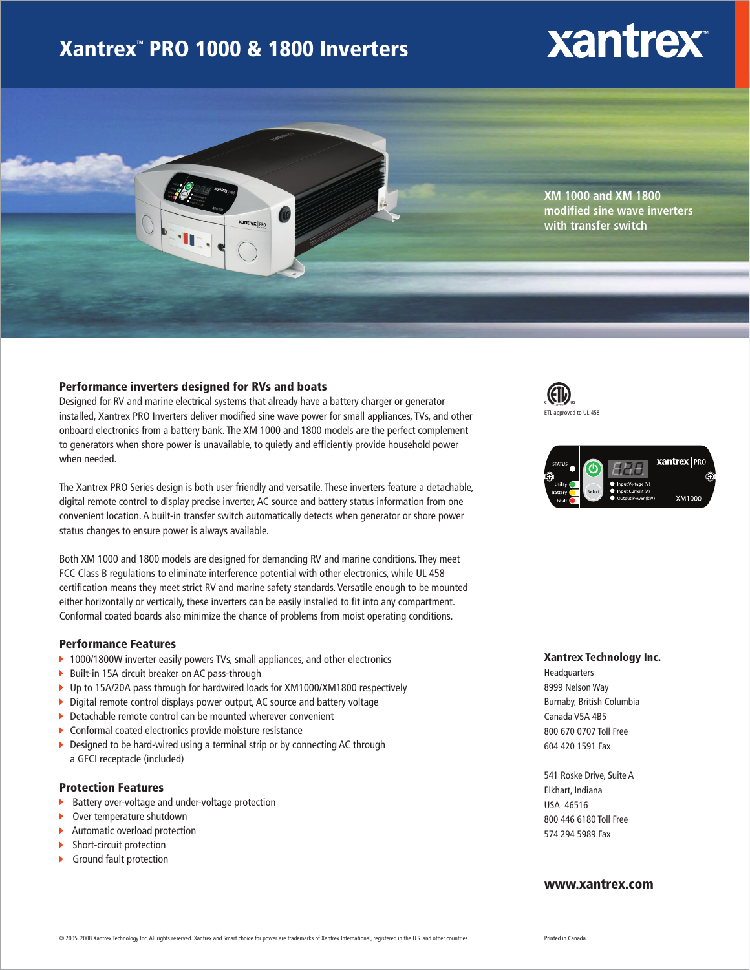### Xantrex<sup>"</sup> PRO 1000 & 1800 Inverters

## **xantrex**



**XM 1000 and XM 1800 modified sine wave inverters with transfer switch**

#### Performance inverters designed for RVs and boats

Designed for RV and marine electrical systems that already have a battery charger or generator installed, Xantrex PRO Inverters deliver modified sine wave power for small appliances, TVs, and other onboard electronics from a battery bank. The XM 1000 and 1800 models are the perfect complement to generators when shore power is unavailable, to quietly and efficiently provide household power when needed.

The Xantrex PRO Series design is both user friendly and versatile. These inverters feature a detachable, digital remote control to display precise inverter, AC source and battery status information from one convenient location. A built-in transfer switch automatically detects when generator or shore power status changes to ensure power is always available.

Both XM 1000 and 1800 models are designed for demanding RV and marine conditions. They meet FCC Class B regulations to eliminate interference potential with other electronics, while UL 458 certification means they meet strict RV and marine safety standards. Versatile enough to be mounted either horizontally or vertically, these inverters can be easily installed to fit into any compartment. Conformal coated boards also minimize the chance of problems from moist operating conditions.

#### Performance Features

- ▶ 1000/1800W inverter easily powers TVs, small appliances, and other electronics
- ▶ Built-in 15A circuit breaker on AC pass-through
- ▶ Up to 15A/20A pass through for hardwired loads for XM1000/XM1800 respectively
- Digital remote control displays power output, AC source and battery voltage
- ▶ Detachable remote control can be mounted wherever convenient
- Conformal coated electronics provide moisture resistance
- Designed to be hard-wired using a terminal strip or by connecting AC through a GFCI receptacle (included)

#### Protection Features

- Battery over-voltage and under-voltage protection
- Over temperature shutdown
- × Automatic overload protection
- Ы Short-circuit protection
- У Ground fault protection





#### Xantrex Technology Inc.

Headquarters 8999 Nelson Way Burnaby, British Columbia Canada V5A 4B5 800 670 0707 Toll Free 604 420 1591 Fax

541 Roske Drive, Suite A Elkhart, Indiana USA 46516 800 446 6180 Toll Free 574 294 5989 Fax

#### www.xantrex.com